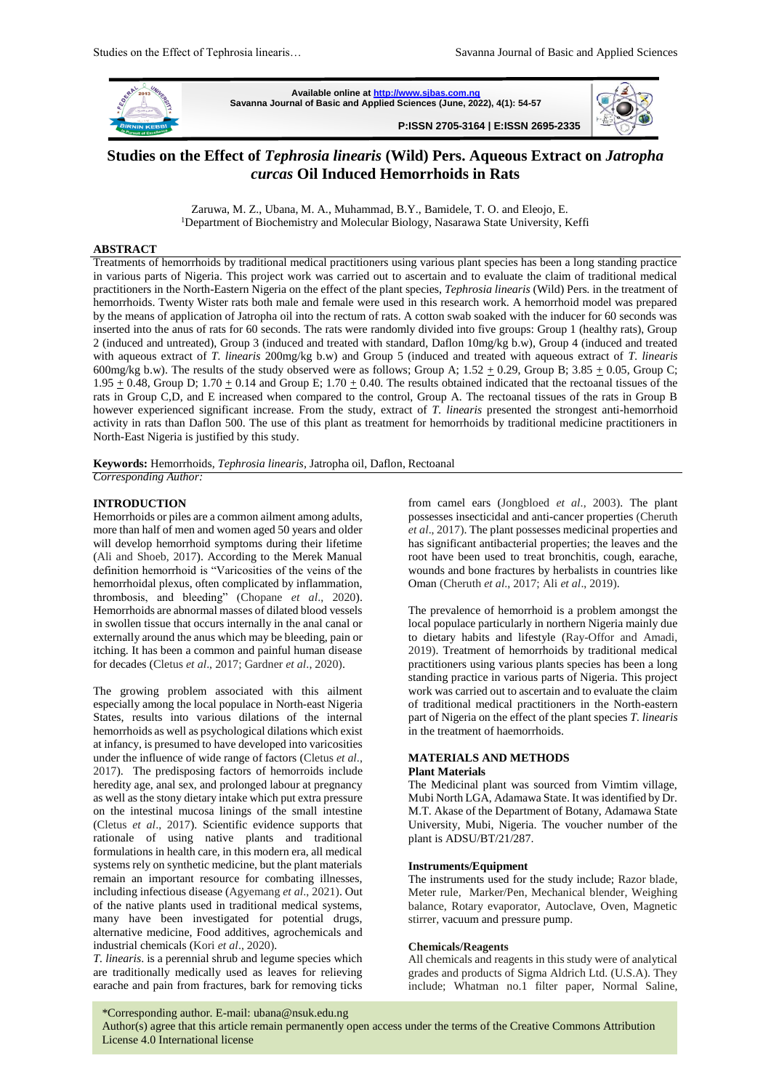

**Available online a[t http://www.sjbas.com.ng](http://www.sjbas.com.ng/) Savanna Journal of Basic and Applied Sciences (June, 2022), 4(1): 54-57** 

**P:ISSN 2705-3164 | E:ISSN 2695-2335** 



# **Studies on the Effect of** *Tephrosia linearis* **(Wild) Pers. Aqueous Extract on** *Jatropha curcas* **Oil Induced Hemorrhoids in Rats**

 Zaruwa, M. Z., Ubana, M. A., Muhammad, B.Y., Bamidele, T. O. and Eleojo, E. <sup>1</sup>Department of Biochemistry and Molecular Biology, Nasarawa State University, Keffi

### **ABSTRACT**

Treatments of hemorrhoids by traditional medical practitioners using various plant species has been a long standing practice in various parts of Nigeria. This project work was carried out to ascertain and to evaluate the claim of traditional medical practitioners in the North-Eastern Nigeria on the effect of the plant species, *Tephrosia linearis* (Wild) Pers*.* in the treatment of hemorrhoids. Twenty Wister rats both male and female were used in this research work. A hemorrhoid model was prepared by the means of application of Jatropha oil into the rectum of rats. A cotton swab soaked with the inducer for 60 seconds was inserted into the anus of rats for 60 seconds. The rats were randomly divided into five groups: Group 1 (healthy rats), Group 2 (induced and untreated), Group 3 (induced and treated with standard, Daflon 10mg/kg b.w), Group 4 (induced and treated with aqueous extract of *T. linearis* 200mg/kg b.w) and Group 5 (induced and treated with aqueous extract of *T. linearis* 600mg/kg b.w). The results of the study observed were as follows; Group A;  $1.52 \pm 0.29$ , Group B;  $3.85 \pm 0.05$ , Group C; 1.95  $\pm$  0.48, Group D; 1.70  $\pm$  0.14 and Group E; 1.70  $\pm$  0.40. The results obtained indicated that the rectoanal tissues of the rats in Group C,D, and E increased when compared to the control, Group A. The rectoanal tissues of the rats in Group B however experienced significant increase. From the study, extract of *T. linearis* presented the strongest anti-hemorrhoid activity in rats than Daflon 500. The use of this plant as treatment for hemorrhoids by traditional medicine practitioners in North-East Nigeria is justified by this study.

**Keywords:** Hemorrhoids, *Tephrosia linearis,* Jatropha oil, Daflon, Rectoanal *Corresponding Author:* 

#### **INTRODUCTION**

Hemorrhoids or piles are a common ailment among adults, more than half of men and women aged 50 years and older will develop hemorrhoid symptoms during their lifetime (Ali and Shoeb, 2017). According to the Merek Manual definition hemorrhoid is "Varicosities of the veins of the hemorrhoidal plexus, often complicated by inflammation, thrombosis, and bleeding" (Chopane *et al*., 2020). Hemorrhoids are abnormal masses of dilated blood vessels in swollen tissue that occurs internally in the anal canal or externally around the anus which may be bleeding, pain or itching. It has been a common and painful human disease for decades (Cletus *et al*., 2017; Gardner *et al*., 2020).

The growing problem associated with this ailment especially among the local populace in North-east Nigeria States, results into various dilations of the internal hemorrhoids as well as psychological dilations which exist at infancy, is presumed to have developed into varicosities under the influence of wide range of factors (Cletus *et al*., 2017). The predisposing factors of hemorroids include heredity age, anal sex, and prolonged labour at pregnancy as well as the stony dietary intake which put extra pressure on the intestinal mucosa linings of the small intestine (Cletus *et al*., 2017). Scientific evidence supports that rationale of using native plants and traditional formulations in health care, in this modern era, all medical systems rely on synthetic medicine, but the plant materials remain an important resource for combating illnesses, including infectious disease (Agyemang *et al*., 2021). Out of the native plants used in traditional medical systems, many have been investigated for potential drugs, alternative medicine, Food additives, agrochemicals and industrial chemicals (Kori *et al*., 2020).

*T. linearis*. is a perennial shrub and legume species which are traditionally medically used as leaves for relieving earache and pain from fractures, bark for removing ticks

from camel ears (Jongbloed *et al*., 2003). The plant possesses insecticidal and anti-cancer properties (Cheruth *et al*., 2017). The plant possesses medicinal properties and has significant antibacterial properties; the leaves and the root have been used to treat bronchitis, cough, earache, wounds and bone fractures by herbalists in countries like Oman (Cheruth *et al*., 2017; Ali *et al*., 2019).

The prevalence of hemorrhoid is a problem amongst the local populace particularly in northern Nigeria mainly due to dietary habits and lifestyle (Ray-Offor and Amadi, 2019). Treatment of hemorrhoids by traditional medical practitioners using various plants species has been a long standing practice in various parts of Nigeria. This project work was carried out to ascertain and to evaluate the claim of traditional medical practitioners in the North-eastern part of Nigeria on the effect of the plant species *T. linearis*  in the treatment of haemorrhoids.

# **MATERIALS AND METHODS**

# **Plant Materials**

The Medicinal plant was sourced from Vimtim village, Mubi North LGA, Adamawa State. It was identified by Dr. M.T. Akase of the Department of Botany, Adamawa State University, Mubi, Nigeria. The voucher number of the plant is ADSU/BT/21/287.

#### **Instruments/Equipment**

The instruments used for the study include; Razor blade, Meter rule, Marker/Pen, Mechanical blender, Weighing balance, Rotary evaporator, Autoclave, Oven, Magnetic stirrer, vacuum and pressure pump.

#### **Chemicals/Reagents**

All chemicals and reagents in this study were of analytical grades and products of Sigma Aldrich Ltd. (U.S.A). They include; Whatman no.1 filter paper, Normal Saline,

54 \*Corresponding author. E-mail: ubana@nsuk.edu.ng

Author(s) agree that this article remain permanently open access under the terms of the Creative Commons Attribution License 4.0 International license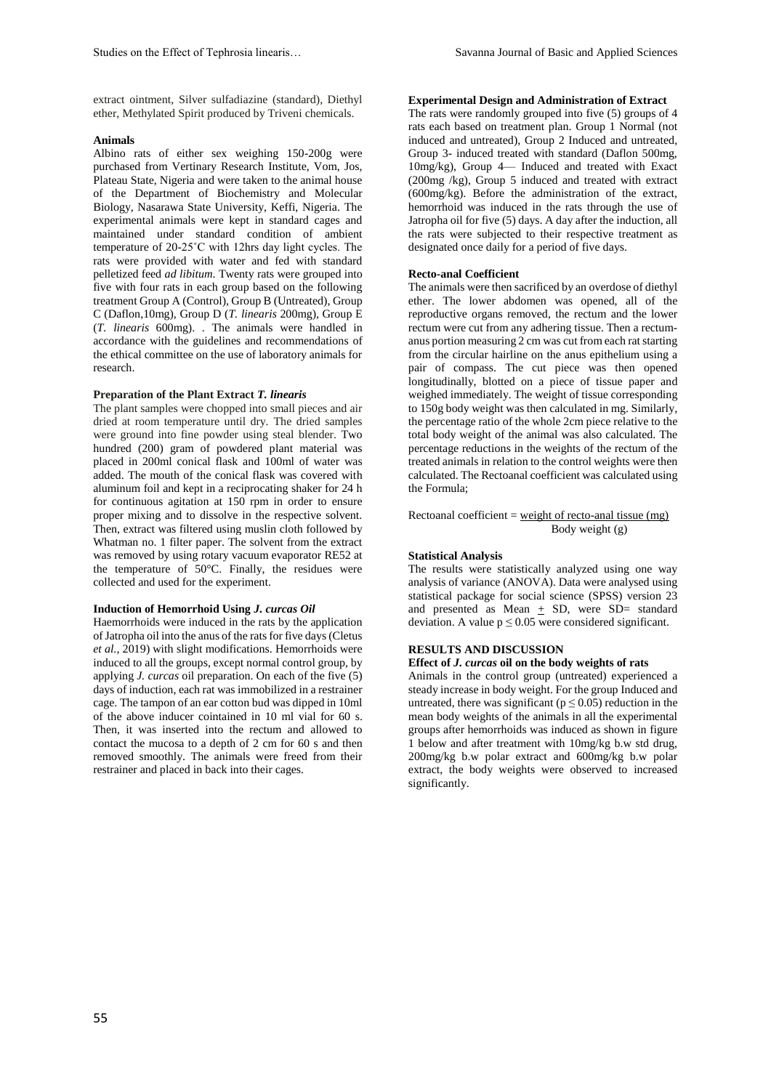extract ointment, Silver sulfadiazine (standard), Diethyl ether, Methylated Spirit produced by Triveni chemicals.

#### **Animals**

Albino rats of either sex weighing 150-200g were purchased from Vertinary Research Institute, Vom, Jos, Plateau State, Nigeria and were taken to the animal house of the Department of Biochemistry and Molecular Biology, Nasarawa State University, Keffi, Nigeria. The experimental animals were kept in standard cages and maintained under standard condition of ambient temperature of 20-25˚C with 12hrs day light cycles. The rats were provided with water and fed with standard pelletized feed *ad libitum*. Twenty rats were grouped into five with four rats in each group based on the following treatment Group A (Control), Group B (Untreated), Group C (Daflon,10mg), Group D (*T. linearis* 200mg), Group E (*T. linearis* 600mg). . The animals were handled in accordance with the guidelines and recommendations of the ethical committee on the use of laboratory animals for research.

#### **Preparation of the Plant Extract** *T. linearis*

The plant samples were chopped into small pieces and air dried at room temperature until dry. The dried samples were ground into fine powder using steal blender. Two hundred (200) gram of powdered plant material was placed in 200ml conical flask and 100ml of water was added. The mouth of the conical flask was covered with aluminum foil and kept in a reciprocating shaker for 24 h for continuous agitation at 150 rpm in order to ensure proper mixing and to dissolve in the respective solvent. Then, extract was filtered using muslin cloth followed by Whatman no. 1 filter paper. The solvent from the extract was removed by using rotary vacuum evaporator RE52 at the temperature of 50°C. Finally, the residues were collected and used for the experiment.

#### **Induction of Hemorrhoid Using** *J. curcas Oil*

Haemorrhoids were induced in the rats by the application of Jatropha oil into the anus of the rats for five days (Cletus *et al.,* 2019) with slight modifications. Hemorrhoids were induced to all the groups, except normal control group, by applying *J. curcas* oil preparation. On each of the five (5) days of induction, each rat was immobilized in a restrainer cage. The tampon of an ear cotton bud was dipped in 10ml of the above inducer cointained in 10 ml vial for 60 s. Then, it was inserted into the rectum and allowed to contact the mucosa to a depth of 2 cm for 60 s and then removed smoothly. The animals were freed from their restrainer and placed in back into their cages.

# **Experimental Design and Administration of Extract**

The rats were randomly grouped into five (5) groups of 4 rats each based on treatment plan. Group 1 Normal (not induced and untreated), Group 2 Induced and untreated, Group 3- induced treated with standard (Daflon 500mg, 10mg/kg), Group 4— Induced and treated with Exact (200mg /kg), Group 5 induced and treated with extract (600mg/kg). Before the administration of the extract, hemorrhoid was induced in the rats through the use of Jatropha oil for five (5) days. A day after the induction, all the rats were subjected to their respective treatment as designated once daily for a period of five days.

#### **Recto-anal Coefficient**

The animals were then sacrificed by an overdose of diethyl ether. The lower abdomen was opened, all of the reproductive organs removed, the rectum and the lower rectum were cut from any adhering tissue. Then a rectumanus portion measuring 2 cm was cut from each rat starting from the circular hairline on the anus epithelium using a pair of compass. The cut piece was then opened longitudinally, blotted on a piece of tissue paper and weighed immediately. The weight of tissue corresponding to 150g body weight was then calculated in mg. Similarly, the percentage ratio of the whole 2cm piece relative to the total body weight of the animal was also calculated. The percentage reductions in the weights of the rectum of the treated animals in relation to the control weights were then calculated. The Rectoanal coefficient was calculated using the Formula;

### Rectoanal coefficient =  $weight of recto-anal$  tissue (mg) Body weight (g)

# **Statistical Analysis**

The results were statistically analyzed using one way analysis of variance (ANOVA). Data were analysed using statistical package for social science (SPSS) version 23 and presented as Mean  $\pm$  SD, were SD= standard deviation. A value  $p \le 0.05$  were considered significant.

# **RESULTS AND DISCUSSION**

# **Effect of** *J. curcas* **oil on the body weights of rats**

Animals in the control group (untreated) experienced a steady increase in body weight. For the group Induced and untreated, there was significant ( $p \le 0.05$ ) reduction in the mean body weights of the animals in all the experimental groups after hemorrhoids was induced as shown in figure 1 below and after treatment with 10mg/kg b.w std drug, 200mg/kg b.w polar extract and 600mg/kg b.w polar extract, the body weights were observed to increased significantly.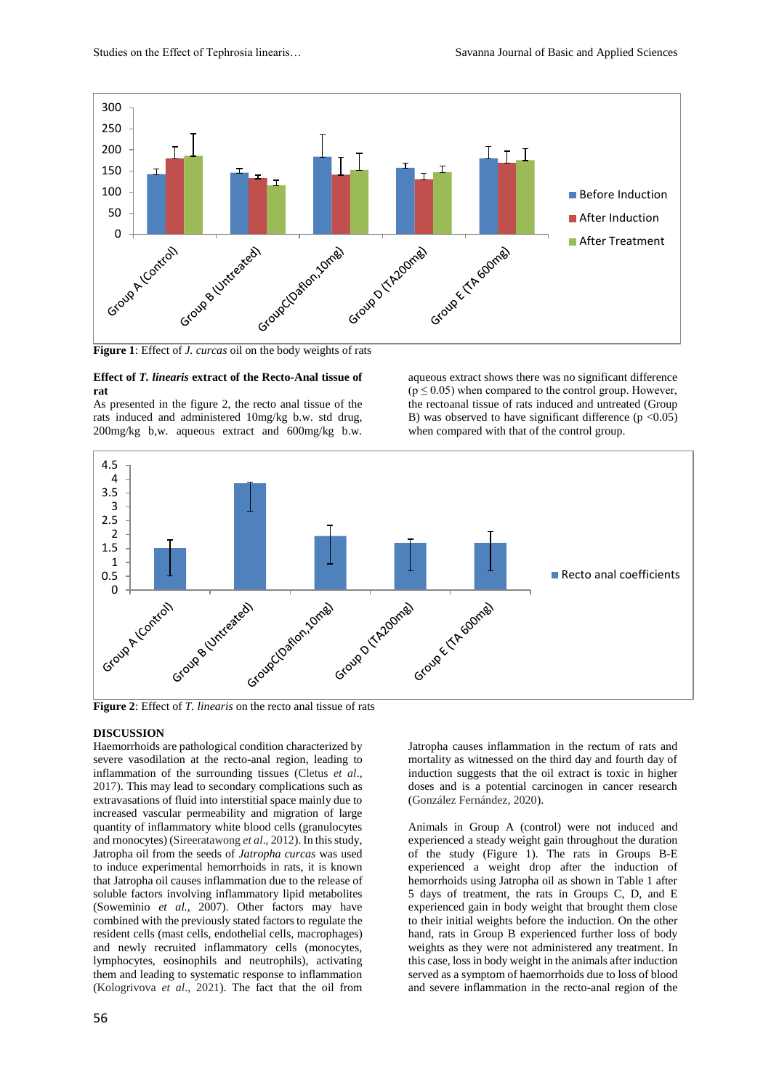

**Figure 1**: Effect of *J. curcas* oil on the body weights of rats

#### **Effect of** *T. linearis* **extract of the Recto-Anal tissue of rat**

As presented in the figure 2, the recto anal tissue of the rats induced and administered 10mg/kg b.w. std drug, 200mg/kg b,w. aqueous extract and 600mg/kg b.w.

aqueous extract shows there was no significant difference  $(p \le 0.05)$  when compared to the control group. However, the rectoanal tissue of rats induced and untreated (Group B) was observed to have significant difference  $(p < 0.05)$ when compared with that of the control group.



# **DISCUSSION**

Haemorrhoids are pathological condition characterized by severe vasodilation at the recto-anal region, leading to inflammation of the surrounding tissues (Cletus *et al*., 2017). This may lead to secondary complications such as extravasations of fluid into interstitial space mainly due to increased vascular permeability and migration of large quantity of inflammatory white blood cells (granulocytes and rnonocytes) (Sireeratawong *et al*., 2012). In this study, Jatropha oil from the seeds of *Jatropha curcas* was used to induce experimental hemorrhoids in rats, it is known that Jatropha oil causes inflammation due to the release of soluble factors involving inflammatory lipid metabolites (Soweminio *et al.*, 2007). Other factors may have combined with the previously stated factors to regulate the resident cells (mast cells, endothelial cells, macrophages) and newly recruited inflammatory cells (monocytes, lymphocytes, eosinophils and neutrophils), activating them and leading to systematic response to inflammation (Kologrivova *et al*., 2021). The fact that the oil from Jatropha causes inflammation in the rectum of rats and mortality as witnessed on the third day and fourth day of induction suggests that the oil extract is toxic in higher doses and is a potential carcinogen in cancer research (González Fernández, 2020).

Animals in Group A (control) were not induced and experienced a steady weight gain throughout the duration of the study (Figure 1). The rats in Groups B-E experienced a weight drop after the induction of hemorrhoids using Jatropha oil as shown in Table 1 after 5 days of treatment, the rats in Groups C, D, and E experienced gain in body weight that brought them close to their initial weights before the induction. On the other hand, rats in Group B experienced further loss of body weights as they were not administered any treatment. In this case, loss in body weight in the animals after induction served as a symptom of haemorrhoids due to loss of blood and severe inflammation in the recto-anal region of the